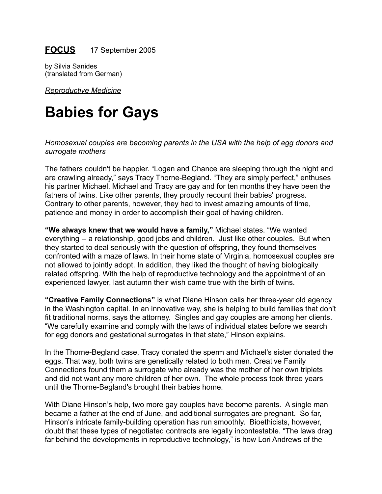## **FOCUS** 17 September 2005

by Silvia Sanides (translated from German)

*Reproductive Medicine*

# **Babies for Gays**

*Homosexual couples are becoming parents in the USA with the help of egg donors and surrogate mothers*

The fathers couldn't be happier. "Logan and Chance are sleeping through the night and are crawling already," says Tracy Thorne-Begland. "They are simply perfect," enthuses his partner Michael. Michael and Tracy are gay and for ten months they have been the fathers of twins. Like other parents, they proudly recount their babies' progress. Contrary to other parents, however, they had to invest amazing amounts of time, patience and money in order to accomplish their goal of having children.

**"We always knew that we would have a family,"** Michael states. "We wanted everything -- a relationship, good jobs and children. Just like other couples. But when they started to deal seriously with the question of offspring, they found themselves confronted with a maze of laws. In their home state of Virginia, homosexual couples are not allowed to jointly adopt. In addition, they liked the thought of having biologically related offspring. With the help of reproductive technology and the appointment of an experienced lawyer, last autumn their wish came true with the birth of twins.

**"Creative Family Connections"** is what Diane Hinson calls her three-year old agency in the Washington capital. In an innovative way, she is helping to build families that don't fit traditional norms, says the attorney. Singles and gay couples are among her clients. "We carefully examine and comply with the laws of individual states before we search for egg donors and gestational surrogates in that state," Hinson explains.

In the Thorne-Begland case, Tracy donated the sperm and Michael's sister donated the eggs. That way, both twins are genetically related to both men. Creative Family Connections found them a surrogate who already was the mother of her own triplets and did not want any more children of her own. The whole process took three years until the Thorne-Begland's brought their babies home.

With Diane Hinson's help, two more gay couples have become parents. A single man became a father at the end of June, and additional surrogates are pregnant. So far, Hinson's intricate family-building operation has run smoothly. Bioethicists, however, doubt that these types of negotiated contracts are legally incontestable. "The laws drag far behind the developments in reproductive technology," is how Lori Andrews of the